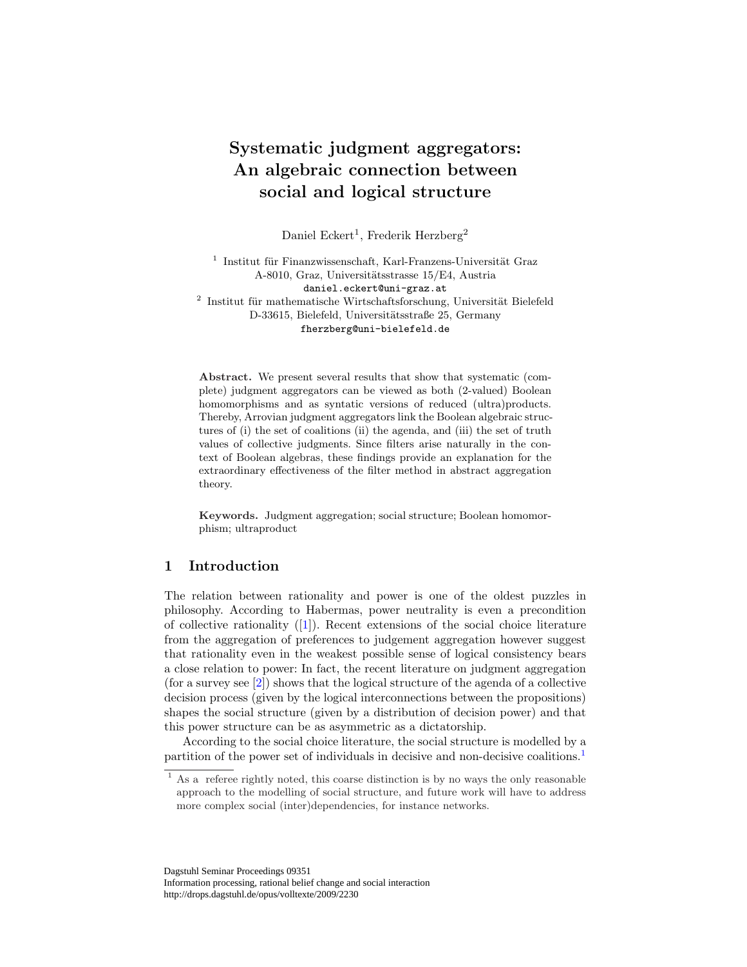# Systematic judgment aggregators: An algebraic connection between social and logical structure

Daniel Eckert<sup>1</sup>, Frederik Herzberg<sup>2</sup>

 $1$  Institut für Finanzwissenschaft, Karl-Franzens-Universität Graz A-8010, Graz, Universitätsstrasse 15/E4, Austria daniel.eckert@uni-graz.at  $2$  Institut für mathematische Wirtschaftsforschung, Universität Bielefeld

D-33615, Bielefeld, Universitätsstraße 25, Germany

fherzberg@uni-bielefeld.de

Abstract. We present several results that show that systematic (complete) judgment aggregators can be viewed as both (2-valued) Boolean homomorphisms and as syntatic versions of reduced (ultra)products. Thereby, Arrovian judgment aggregators link the Boolean algebraic structures of (i) the set of coalitions (ii) the agenda, and (iii) the set of truth values of collective judgments. Since filters arise naturally in the context of Boolean algebras, these findings provide an explanation for the extraordinary effectiveness of the filter method in abstract aggregation theory.

Keywords. Judgment aggregation; social structure; Boolean homomorphism; ultraproduct

### 1 Introduction

The relation between rationality and power is one of the oldest puzzles in philosophy. According to Habermas, power neutrality is even a precondition of collective rationality ([1]). Recent extensions of the social choice literature from the aggregation of preferences to judgement aggregation however suggest that rationality even in the weakest possible sense of logical consistency bears a close relation to power: In fact, the recent literature on judgment aggregation (for a survey see [2]) shows that the logical structure of the agenda of a collective decision process (given by the logical interconnections between the propositions) shapes the social structure (given by a distribution of decision power) and that this power structure can be as asymmetric as a dictatorship.

According to the social choice literature, the social structure is modelled by a partition of the power set of individuals in decisive and non-decisive coalitions.<sup>1</sup>

Dagstuhl Seminar Proceedings 09351 Information processing, rational belief change and social interaction http://drops.dagstuhl.de/opus/volltexte/2009/2230

<sup>&</sup>lt;sup>1</sup> As a referee rightly noted, this coarse distinction is by no ways the only reasonable approach to the modelling of social structure, and future work will have to address more complex social (inter)dependencies, for instance networks.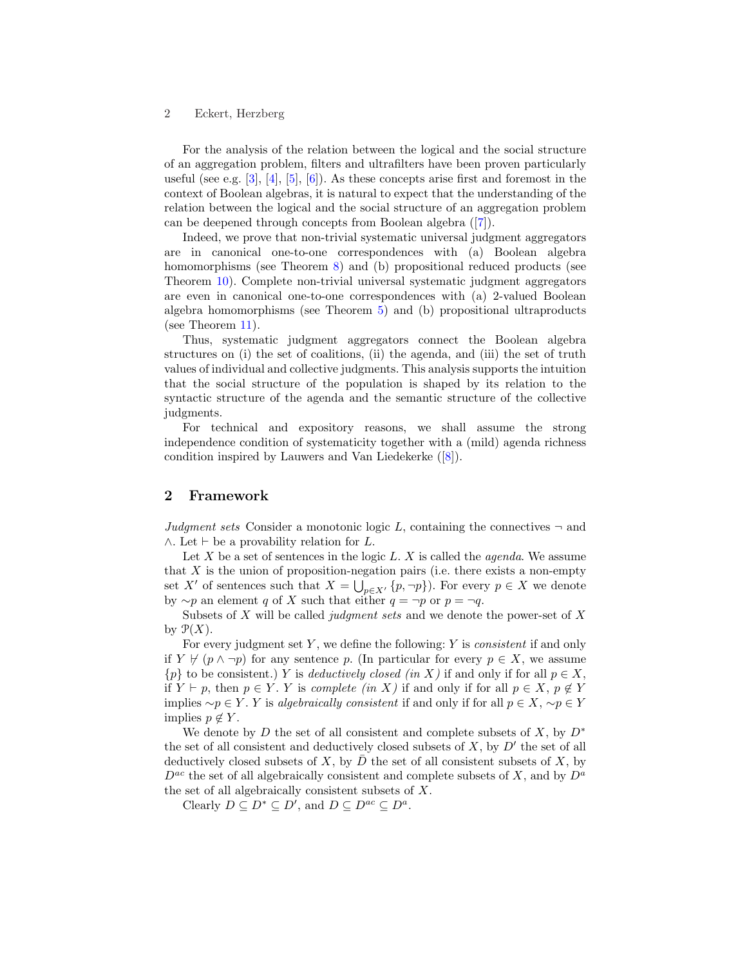For the analysis of the relation between the logical and the social structure of an aggregation problem, filters and ultrafilters have been proven particularly useful (see e.g.  $[3], [4], [5], [6]$ ). As these concepts arise first and foremost in the context of Boolean algebras, it is natural to expect that the understanding of the relation between the logical and the social structure of an aggregation problem can be deepened through concepts from Boolean algebra ([7]).

Indeed, we prove that non-trivial systematic universal judgment aggregators are in canonical one-to-one correspondences with (a) Boolean algebra homomorphisms (see Theorem 8) and (b) propositional reduced products (see Theorem 10). Complete non-trivial universal systematic judgment aggregators are even in canonical one-to-one correspondences with (a) 2-valued Boolean algebra homomorphisms (see Theorem 5) and (b) propositional ultraproducts (see Theorem 11).

Thus, systematic judgment aggregators connect the Boolean algebra structures on (i) the set of coalitions, (ii) the agenda, and (iii) the set of truth values of individual and collective judgments. This analysis supports the intuition that the social structure of the population is shaped by its relation to the syntactic structure of the agenda and the semantic structure of the collective judgments.

For technical and expository reasons, we shall assume the strong independence condition of systematicity together with a (mild) agenda richness condition inspired by Lauwers and Van Liedekerke ([8]).

# 2 Framework

Judgment sets Consider a monotonic logic L, containing the connectives  $\neg$  and  $\wedge$ . Let  $\vdash$  be a provability relation for L.

Let  $X$  be a set of sentences in the logic  $L$ .  $X$  is called the *agenda*. We assume that  $X$  is the union of proposition-negation pairs (i.e. there exists a non-empty set X' of sentences such that  $X = \bigcup_{p \in X'} \{p, \neg p\}$ . For every  $p \in X$  we denote by  $\sim p$  an element q of X such that either  $q = \neg p$  or  $p = \neg q$ .

Subsets of X will be called *judgment sets* and we denote the power-set of X by  $\mathcal{P}(X)$ .

For every judgment set  $Y$ , we define the following:  $Y$  is *consistent* if and only if  $Y \not\vdash (p \land \neg p)$  for any sentence p. (In particular for every  $p \in X$ , we assume  ${p}$  to be consistent.) Y is *deductively closed (in X)* if and only if for all  $p \in X$ , if  $Y \vdash p$ , then  $p \in Y$ . Y is complete (in X) if and only if for all  $p \in X$ ,  $p \notin Y$ implies  $\sim p \in Y$ . Y is algebraically consistent if and only if for all  $p \in X$ ,  $\sim p \in Y$ implies  $p \notin Y$ .

We denote by D the set of all consistent and complete subsets of X, by  $D^*$ the set of all consistent and deductively closed subsets of  $X$ , by  $D'$  the set of all deductively closed subsets of X, by  $\overline{D}$  the set of all consistent subsets of X, by  $D^{ac}$  the set of all algebraically consistent and complete subsets of X, and by  $D^{a}$ the set of all algebraically consistent subsets of X.

Clearly  $D \subseteq D^* \subseteq D'$ , and  $D \subseteq D^{ac} \subseteq D^a$ .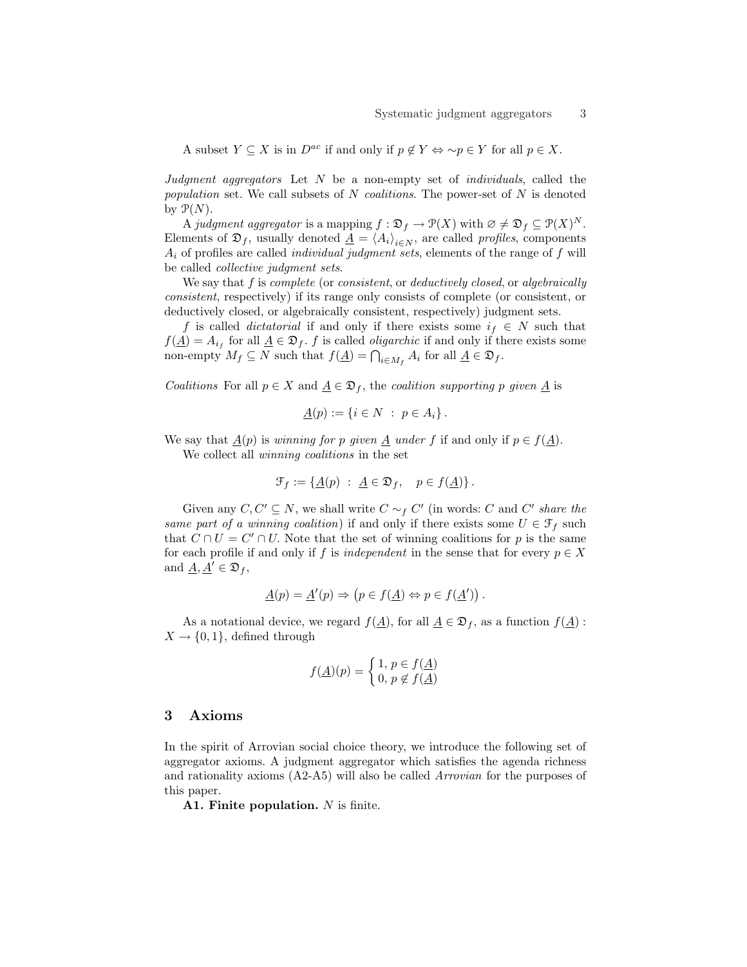A subset  $Y \subseteq X$  is in  $D^{ac}$  if and only if  $p \notin Y \Leftrightarrow \neg p \in Y$  for all  $p \in X$ .

Judgment aggregators Let  $N$  be a non-empty set of *individuals*, called the population set. We call subsets of  $N$  coalitions. The power-set of  $N$  is denoted by  $\mathcal{P}(N)$ .

A judgment aggregator is a mapping  $f : \mathfrak{D}_f \to \mathfrak{P}(X)$  with  $\varnothing \neq \mathfrak{D}_f \subseteq \mathfrak{P}(X)^N$ . Elements of  $\mathfrak{D}_f$ , usually denoted  $\underline{A} = \langle A_i \rangle_{i \in N}$ , are called profiles, components  $A_i$  of profiles are called *individual judgment sets*, elements of the range of  $f$  will be called collective judgment sets.

We say that  $f$  is *complete* (or *consistent*, or *deductively closed*, or *algebraically* consistent, respectively) if its range only consists of complete (or consistent, or deductively closed, or algebraically consistent, respectively) judgment sets.

f is called *dictatorial* if and only if there exists some  $i_f \in N$  such that  $f(\underline{A}) = A_{i_f}$  for all  $\underline{A} \in \mathfrak{D}_f$ . f is called *oligarchic* if and only if there exists some non-empty  $M_f \subseteq N$  such that  $f(\underline{A}) = \bigcap_{i \in M_f} A_i$  for all  $\underline{A} \in \mathfrak{D}_f$ .

Coalitions For all  $p \in X$  and  $A \in \mathfrak{D}_f$ , the coalition supporting p given A is

$$
\underline{A}(p) := \{ i \in N \; : \; p \in A_i \}.
$$

We say that  $\underline{A}(p)$  is *winning for p given*  $\underline{A}$  under f if and only if  $p \in f(\underline{A})$ .

We collect all winning coalitions in the set

$$
\mathcal{F}_f := \{ \underline{A}(p) \; : \; \underline{A} \in \mathfrak{D}_f, \quad p \in f(\underline{A}) \} \, .
$$

Given any  $C, C' \subseteq N$ , we shall write  $C \sim_f C'$  (in words: C and C' share the same part of a winning coalition) if and only if there exists some  $U \in \mathcal{F}_f$  such that  $C \cap U = C' \cap U$ . Note that the set of winning coalitions for p is the same for each profile if and only if f is independent in the sense that for every  $p \in X$ and  $\underline{A}, \underline{A}' \in \mathfrak{D}_f$ ,

$$
\underline{A}(p) = \underline{A}'(p) \Rightarrow (p \in f(\underline{A}) \Leftrightarrow p \in f(\underline{A}'))
$$

As a notational device, we regard  $f(\underline{A})$ , for all  $\underline{A} \in \mathfrak{D}_f$ , as a function  $f(\underline{A})$ :  $X \to \{0,1\}$ , defined through

$$
f(\underline{A})(p) = \begin{cases} 1, p \in f(\underline{A}) \\ 0, p \notin f(\underline{A}) \end{cases}
$$

### 3 Axioms

In the spirit of Arrovian social choice theory, we introduce the following set of aggregator axioms. A judgment aggregator which satisfies the agenda richness and rationality axioms (A2-A5) will also be called Arrovian for the purposes of this paper.

A1. Finite population. N is finite.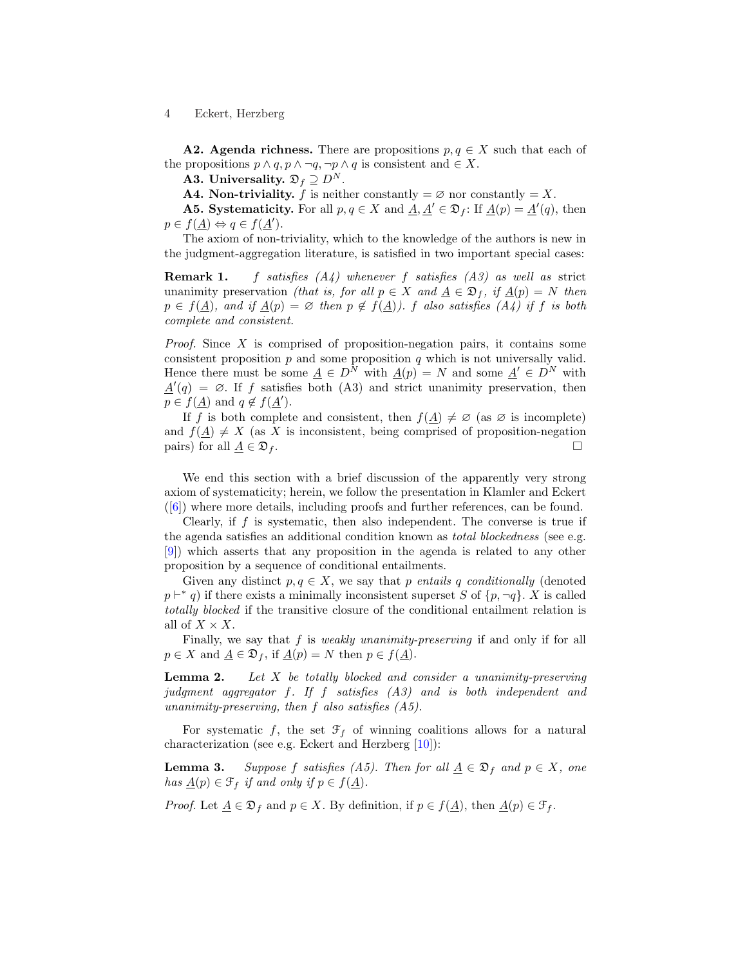**A2. Agenda richness.** There are propositions  $p, q \in X$  such that each of the propositions  $p \wedge q$ ,  $p \wedge \neg q$ ,  $\neg p \wedge q$  is consistent and  $\in X$ .

A3. Universality.  $\mathfrak{D}_f \supseteq D^N$ .

A4. Non-triviality. f is neither constantly  $= \emptyset$  nor constantly  $= X$ .

**A5.** Systematicity. For all  $p, q \in X$  and  $\underline{A}, \underline{A}' \in \mathfrak{D}_f$ : If  $\underline{A}(p) = \underline{A}'(q)$ , then  $p \in f(\underline{A}) \Leftrightarrow q \in f(\underline{A}').$ 

The axiom of non-triviality, which to the knowledge of the authors is new in the judgment-aggregation literature, is satisfied in two important special cases:

**Remark 1.** f satisfies  $(A_4)$  whenever f satisfies  $(A_3)$  as well as strict unanimity preservation *(that is, for all p 
in X and*  $\underline{A} \in \mathfrak{D}_f$ *, if*  $\underline{A}(p) = N$  then  $p \in f(\underline{A})$ , and if  $\underline{A}(p) = \emptyset$  then  $p \notin f(\underline{A})$ . f also satisfies  $(A_4)$  if f is both complete and consistent.

*Proof.* Since X is comprised of proposition-negation pairs, it contains some consistent proposition  $p$  and some proposition  $q$  which is not universally valid. Hence there must be some  $\underline{A} \in D^N$  with  $\underline{A}(p) = N$  and some  $\underline{A}' \in D^N$  with  $\underline{A}'(q) = \emptyset$ . If f satisfies both (A3) and strict unanimity preservation, then  $p \in f(\underline{A})$  and  $q \notin f(\underline{A}').$ 

If f is both complete and consistent, then  $f(\underline{A}) \neq \emptyset$  (as  $\emptyset$  is incomplete) and  $f(\underline{A}) \neq X$  (as X is inconsistent, being comprised of proposition-negation pairs) for all  $\underline{A} \in \mathfrak{D}_f$ .

We end this section with a brief discussion of the apparently very strong axiom of systematicity; herein, we follow the presentation in Klamler and Eckert ([6]) where more details, including proofs and further references, can be found.

Clearly, if f is systematic, then also independent. The converse is true if the agenda satisfies an additional condition known as total blockedness (see e.g. [9]) which asserts that any proposition in the agenda is related to any other proposition by a sequence of conditional entailments.

Given any distinct  $p, q \in X$ , we say that p entails q conditionally (denoted  $p \vdash^* q$  if there exists a minimally inconsistent superset S of  $\{p, \neg q\}$ . X is called totally blocked if the transitive closure of the conditional entailment relation is all of  $X \times X$ .

Finally, we say that  $f$  is *weakly unanimity-preserving* if and only if for all  $p \in X$  and  $\underline{A} \in \mathfrak{D}_f$ , if  $\underline{A}(p) = N$  then  $p \in f(\underline{A})$ .

**Lemma 2.** Let  $X$  be totally blocked and consider a unanimity-preserving judgment aggregator f. If f satisfies (A3) and is both independent and unanimity-preserving, then  $f$  also satisfies  $(A5)$ .

For systematic f, the set  $\mathcal{F}_f$  of winning coalitions allows for a natural characterization (see e.g. Eckert and Herzberg [10]):

**Lemma 3.** Suppose f satisfies (A5). Then for all  $\underline{A} \in \mathfrak{D}_f$  and  $p \in X$ , one has  $\underline{A}(p) \in \mathcal{F}_f$  if and only if  $p \in f(\underline{A})$ .

*Proof.* Let  $\underline{A} \in \mathfrak{D}_f$  and  $p \in X$ . By definition, if  $p \in f(\underline{A})$ , then  $\underline{A}(p) \in \mathfrak{F}_f$ .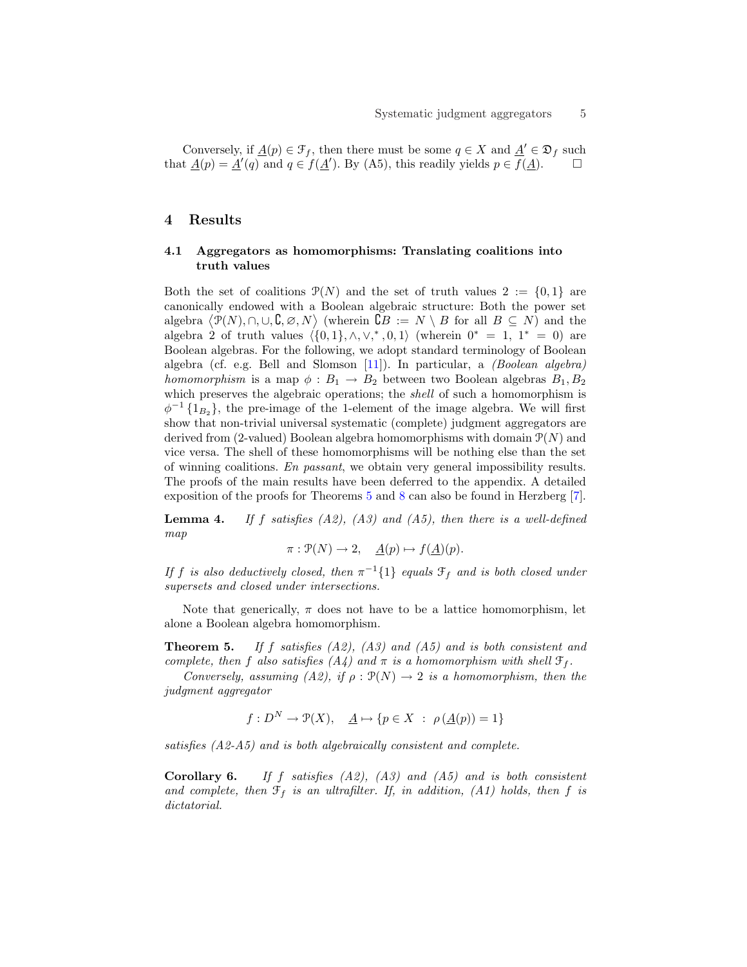Conversely, if  $\underline{A}(p) \in \mathcal{F}_f$ , then there must be some  $q \in X$  and  $\underline{A}' \in \mathfrak{D}_f$  such that  $\underline{A}(p) = \underline{A}'(q)$  and  $q \in f(\underline{A}')$ . By (A5), this readily yields  $p \in f(\underline{A})$ .

### 4 Results

### 4.1 Aggregators as homomorphisms: Translating coalitions into truth values

Both the set of coalitions  $\mathcal{P}(N)$  and the set of truth values  $2 := \{0,1\}$  are canonically endowed with a Boolean algebraic structure: Both the power set canonically endowed with a Boolean algebraic structure: Both the power set<br>algebra  $\langle \mathcal{P}(N), \cap, \cup, \mathcal{C}, \emptyset, N \rangle$  (wherein  $\mathcal{C}B := N \setminus B$  for all  $B \subseteq N$ ) and the algebra 2 of truth values  $\langle \{0, 1\}, \wedge, \vee, ^*, 0, 1\rangle$  (wherein  $0^* = 1, 1^* = 0$ ) are Boolean algebras. For the following, we adopt standard terminology of Boolean algebra (cf. e.g. Bell and Slomson  $[11]$ ). In particular, a *(Boolean algebra) homomorphism* is a map  $\phi : B_1 \to B_2$  between two Boolean algebras  $B_1, B_2$ which preserves the algebraic operations; the *shell* of such a homomorphism is  $\phi^{-1}\{1_{B_2}\}\$ , the pre-image of the 1-element of the image algebra. We will first show that non-trivial universal systematic (complete) judgment aggregators are derived from (2-valued) Boolean algebra homomorphisms with domain  $\mathcal{P}(N)$  and vice versa. The shell of these homomorphisms will be nothing else than the set of winning coalitions. En passant, we obtain very general impossibility results. The proofs of the main results have been deferred to the appendix. A detailed exposition of the proofs for Theorems 5 and 8 can also be found in Herzberg [7].

**Lemma 4.** If f satisfies  $(A2)$ ,  $(A3)$  and  $(A5)$ , then there is a well-defined map

 $\pi : \mathcal{P}(N) \to 2, \quad \underline{A}(p) \mapsto f(\underline{A})(p).$ 

If f is also deductively closed, then  $\pi^{-1}\{1\}$  equals  $\mathcal{F}_f$  and is both closed under supersets and closed under intersections.

Note that generically,  $\pi$  does not have to be a lattice homomorphism, let alone a Boolean algebra homomorphism.

**Theorem 5.** If f satisfies  $(A2)$ ,  $(A3)$  and  $(A5)$  and is both consistent and complete, then f also satisfies  $(A_4)$  and  $\pi$  is a homomorphism with shell  $\mathfrak{F}_f$ .

Conversely, assuming (A2), if  $\rho : \mathcal{P}(N) \to 2$  is a homomorphism, then the judgment aggregator

$$
f: D^N \to \mathcal{P}(X), \quad \underline{A} \mapsto \{p \in X \; : \; \rho(\underline{A}(p)) = 1\}
$$

satisfies (A2-A5) and is both algebraically consistent and complete.

**Corollary 6.** If f satisfies  $(A2)$ ,  $(A3)$  and  $(A5)$  and is both consistent and complete, then  $\mathfrak{F}_f$  is an ultrafilter. If, in addition, (A1) holds, then f is dictatorial.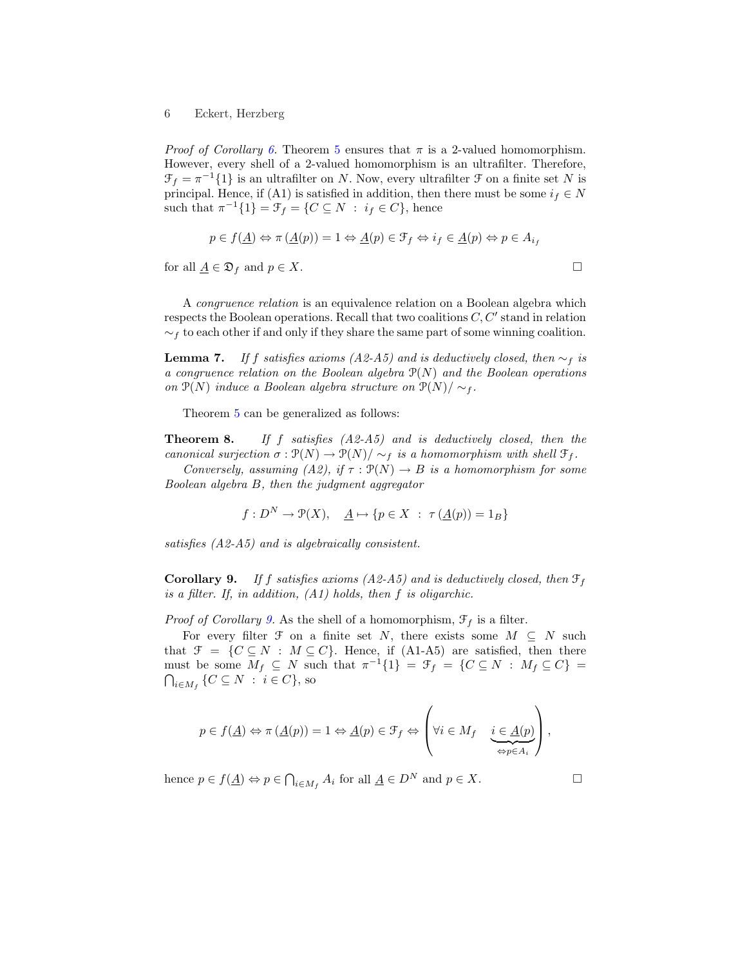*Proof of Corollary 6.* Theorem 5 ensures that  $\pi$  is a 2-valued homomorphism. However, every shell of a 2-valued homomorphism is an ultrafilter. Therefore,  $\mathcal{F}_f = \pi^{-1}{1}$  is an ultrafilter on N. Now, every ultrafilter  $\mathcal F$  on a finite set N is principal. Hence, if (A1) is satisfied in addition, then there must be some  $i_f \in N$ such that  $\pi^{-1}{1} = \mathcal{F}_f = \{C \subseteq N : i_f \in C\}$ , hence

$$
p \in f(\underline{A}) \Leftrightarrow \pi(\underline{A}(p)) = 1 \Leftrightarrow \underline{A}(p) \in \mathcal{F}_f \Leftrightarrow i_f \in \underline{A}(p) \Leftrightarrow p \in A_{i_f}
$$

for all  $\underline{A} \in \mathfrak{D}_f$  and  $p \in X$ .

A congruence relation is an equivalence relation on a Boolean algebra which respects the Boolean operations. Recall that two coalitions  $C, C'$  stand in relation  $\sim_f$  to each other if and only if they share the same part of some winning coalition.

**Lemma 7.** If f satisfies axioms (A2-A5) and is deductively closed, then  $\sim_f$  is a congruence relation on the Boolean algebra  $P(N)$  and the Boolean operations on  $\mathcal{P}(N)$  induce a Boolean algebra structure on  $\mathcal{P}(N)/\sim_f$ .

Theorem 5 can be generalized as follows:

**Theorem 8.** If f satisfies  $(A2-A5)$  and is deductively closed, then the canonical surjection  $\sigma : \mathcal{P}(N) \to \mathcal{P}(N) / \sim_f$  is a homomorphism with shell  $\mathcal{F}_f$ .

Conversely, assuming (A2), if  $\tau : \mathcal{P}(N) \to B$  is a homomorphism for some Boolean algebra B, then the judgment aggregator

$$
f: D^N \to \mathcal{P}(X), \quad \underline{A} \mapsto \{p \in X \; : \; \tau(\underline{A}(p)) = 1_B\}
$$

satisfies (A2-A5) and is algebraically consistent.

**Corollary 9.** If f satisfies axioms (A2-A5) and is deductively closed, then  $\mathcal{F}_f$ is a filter. If, in addition,  $(A1)$  holds, then f is oligarchic.

*Proof of Corollary 9.* As the shell of a homomorphism,  $\mathcal{F}_f$  is a filter.

For every filter  $\mathcal F$  on a finite set N, there exists some  $M \subseteq N$  such that  $\mathcal{F} = \{C \subseteq N : M \subseteq C\}$ . Hence, if (A1-A5) are satisfied, then there must be some  $M_f \subseteq N$  such that  $\pi^{-1}{1} = \mathcal{F}_f = \{C \subseteq N : M_f \subseteq C\} =$  $_{i\in M_f}\left\{ C\subseteq N\;:\;i\in C\right\}$ , so

$$
p \in f(\underline{A}) \Leftrightarrow \pi (\underline{A}(p)) = 1 \Leftrightarrow \underline{A}(p) \in \mathcal{F}_f \Leftrightarrow \left( \forall i \in M_f \quad \underbrace{i \in \underline{A}(p)}_{\Leftrightarrow p \in A_i} \right),
$$

hence  $p \in f(\underline{A}) \Leftrightarrow p \in \bigcap$  $i \in M_f A_i$  for all  $\underline{A} \in D^N$  and  $p \in X$ .  $\square$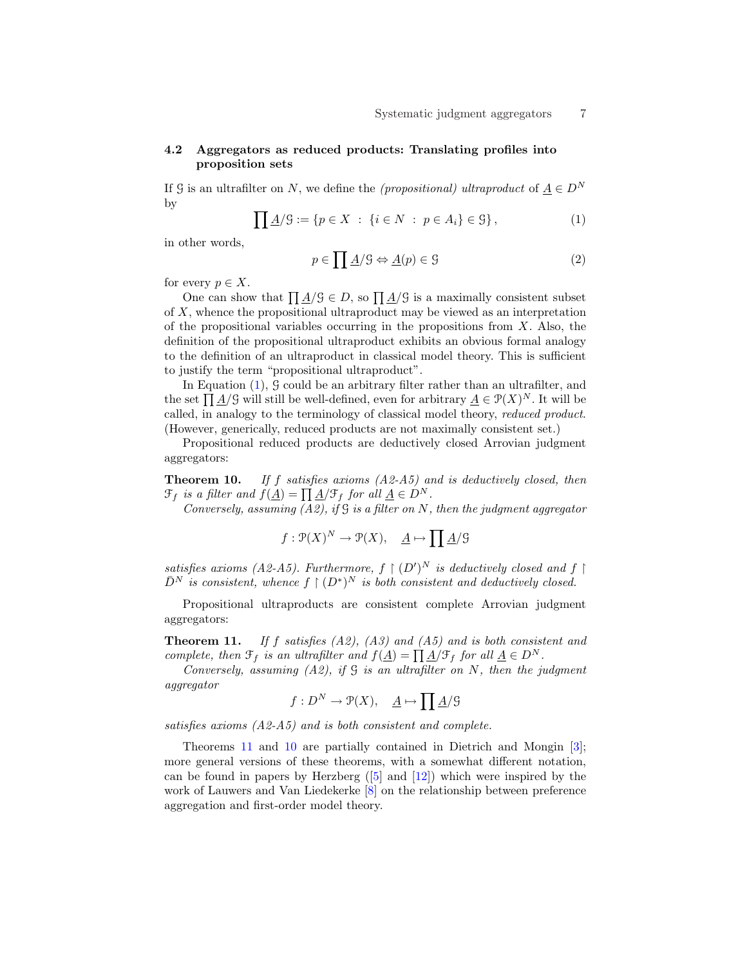### 4.2 Aggregators as reduced products: Translating profiles into proposition sets

If G is an ultrafilter on N, we define the *(propositional)* ultraproduct of  $\underline{A} \in D^N$ by

$$
\prod \underline{A}/\mathcal{G} := \{ p \in X \; : \; \{ i \in N \; : \; p \in A_i \} \in \mathcal{G} \}, \tag{1}
$$

in other words,

$$
p \in \prod \underline{A}/\mathcal{G} \Leftrightarrow \underline{A}(p) \in \mathcal{G}
$$
 (2)

for every  $p \in X$ .

every  $p \in \Lambda$ .<br>One can show that  $\prod A/\mathcal{G} \in D$ , so  $\prod A/\mathcal{G}$  is a maximally consistent subset of X, whence the propositional ultraproduct may be viewed as an interpretation of the propositional variables occurring in the propositions from  $X$ . Also, the definition of the propositional ultraproduct exhibits an obvious formal analogy to the definition of an ultraproduct in classical model theory. This is sufficient to justify the term "propositional ultraproduct".

In Equation (1), 9 could be an arbitrary filter rather than an ultrafilter, and In Equation (1), 9 could be an arbitrary inter rather than an ultrainter, and<br>the set  $\prod A/\mathcal{G}$  will still be well-defined, even for arbitrary  $A \in \mathcal{P}(X)^N$ . It will be called, in analogy to the terminology of classical model theory, reduced product. (However, generically, reduced products are not maximally consistent set.)

Propositional reduced products are deductively closed Arrovian judgment aggregators:

**Theorem 10.** If f satisfies axioms  $(A2-A5)$  and is deductively closed, then  $\mathfrak{F}_f$  is a filter and  $f(\underline{A}) = \prod \underline{A}/\mathfrak{F}_f$  for all  $\underline{A} \in D^N$ .

Conversely, assuming  $(A2)$ , if  $G$  is a filter on N, then the judgment aggregator

$$
f: \mathcal{P}(X)^N \to \mathcal{P}(X), \quad \underline{A} \mapsto \prod \underline{A}/\mathcal{G}
$$

satisfies axioms (A2-A5). Furthermore,  $f \mid (D')^N$  is deductively closed and  $f \mid$  $\bar{D}^N$  is consistent, whence  $f \restriction (D^*)^N$  is both consistent and deductively closed.

Propositional ultraproducts are consistent complete Arrovian judgment aggregators:

**Theorem 11.** If f satisfies  $(A2)$ ,  $(A3)$  and  $(A5)$  and is both consistent and complete, then  $\mathfrak{F}_f$  is an ultrafilter and  $f(\underline{A}) = \prod \underline{A}/\mathfrak{F}_f$  for all  $\underline{A} \in D^N$ .

Conversely, assuming  $(A2)$ , if  $G$  is an ultrafilter on N, then the judgment aggregator

$$
f: D^N \to \mathcal{P}(X), \quad \underline{A} \mapsto \prod \underline{A}/\mathcal{G}
$$

satisfies axioms (A2-A5) and is both consistent and complete.

Theorems 11 and 10 are partially contained in Dietrich and Mongin [3]; more general versions of these theorems, with a somewhat different notation, can be found in papers by Herzberg  $(5)$  and  $[12]$ ) which were inspired by the work of Lauwers and Van Liedekerke [8] on the relationship between preference aggregation and first-order model theory.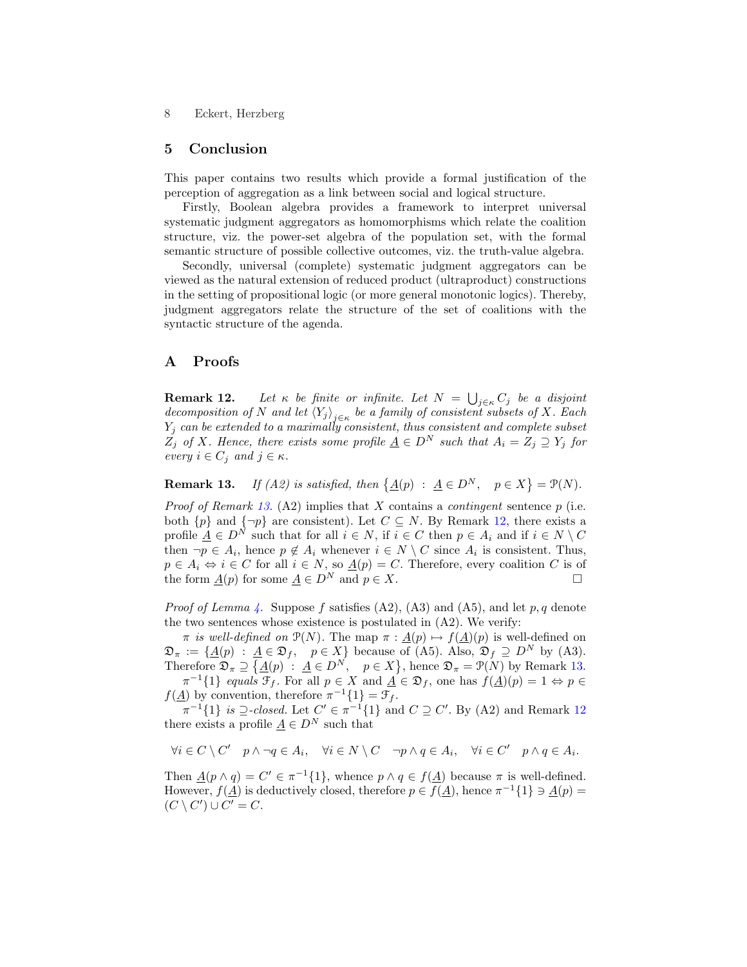#### 5 Conclusion

This paper contains two results which provide a formal justification of the perception of aggregation as a link between social and logical structure.

Firstly, Boolean algebra provides a framework to interpret universal systematic judgment aggregators as homomorphisms which relate the coalition structure, viz. the power-set algebra of the population set, with the formal semantic structure of possible collective outcomes, viz. the truth-value algebra.

Secondly, universal (complete) systematic judgment aggregators can be viewed as the natural extension of reduced product (ultraproduct) constructions in the setting of propositional logic (or more general monotonic logics). Thereby, judgment aggregators relate the structure of the set of coalitions with the syntactic structure of the agenda.

## A Proofs

**Remark 12.** Let  $\kappa$  be finite or infinite. Let  $N = \bigcup_{j \in \kappa} C_j$  be a disjoint decomposition of N and let  $\langle Y_j \rangle_{j \in \kappa}$  be a family of consistent subsets of X. Each  $Y_j$  can be extended to a maximally consistent, thus consistent and complete subset  $Z_j$  of X. Hence, there exists some profile  $\underline{A} \in D^N$  such that  $A_i = Z_j \supseteq Y_j$  for every  $i \in C_j$  and  $j \in \kappa$ .

**Remark 13.** If (A2) is satisfied, then  $\{\underline{A}(p) : \underline{A} \in D^N, p \in X\}$  $= \mathcal{P}(N).$ 

*Proof of Remark 13.* (A2) implies that X contains a *contingent* sentence  $p$  (i.e. both  $\{p\}$  and  $\{\neg p\}$  are consistent). Let  $C \subseteq N$ . By Remark 12, there exists a profile  $\underline{A} \in D^N$  such that for all  $i \in N$ , if  $i \in C$  then  $p \in A_i$  and if  $i \in N \setminus C$ then  $\neg p \in A_i$ , hence  $p \notin A_i$  whenever  $i \in N \setminus C$  since  $A_i$  is consistent. Thus,  $p \in A_i \Leftrightarrow i \in C$  for all  $i \in N$ , so  $\underline{A}(p) = C$ . Therefore, every coalition C is of the form  $\underline{A}(p)$  for some  $\underline{A} \in D^N$  and  $p \in X$ .

*Proof of Lemma 4.* Suppose f satisfies  $(A2)$ ,  $(A3)$  and  $(A5)$ , and let p, q denote the two sentences whose existence is postulated in (A2). We verify:

 $π$  is well-defined on  $\mathcal{P}(N)$ . The map  $π : \underline{A}(p) \mapsto f(\underline{A})(p)$  is well-defined on  $\mathfrak{D}_{\pi} := {\underline{A}(p) : \underline{A} \in \mathfrak{D}_f, \quad p \in X}$  because of (A5). Also,  $\mathfrak{D}_f \supseteq D^N$  by (A3). Therefore  $\mathfrak{D}_{\pi} \supseteq$  $\underline{A} \in \mathfrak{D}_f, \quad p \in X$  because of<br>  $\{\underline{A}(p) : \underline{A} \in D^N, \quad p \in X\}$ , hence  $\mathfrak{D}_{\pi} = \mathfrak{P}(N)$  by Remark 13.  $\pi^{-1}\{1\}$  equals  $\mathcal{F}_f$ . For all  $p \in X$  and  $\underline{A} \in \mathfrak{D}_f$ , one has  $f(\underline{A})(p) = 1 \Leftrightarrow p \in \mathcal{F}$ 

 $f(\underline{A})$  by convention, therefore  $\pi^{-1}{1} = \mathcal{F}_f$ .

 $\pi^{-1}{1}$  is  $\supseteq$ -closed. Let  $C' \in \pi^{-1}{1}$  and  $C \supseteq C'$ . By (A2) and Remark 12 there exists a profile  $A \in D^N$  such that

$$
\forall i \in C \setminus C' \quad p \wedge \neg q \in A_i, \quad \forall i \in N \setminus C \quad \neg p \wedge q \in A_i, \quad \forall i \in C' \quad p \wedge q \in A_i.
$$

Then  $\underline{A}(p \wedge q) = C' \in \pi^{-1}{1}$ , whence  $p \wedge q \in f(\underline{A})$  because  $\pi$  is well-defined. However,  $f(\underline{A})$  is deductively closed, therefore  $p \in f(\underline{A})$ , hence  $\pi^{-1}{1 \ \ni \underline{A}(p)} =$  $(C \setminus C') \cup C' = C.$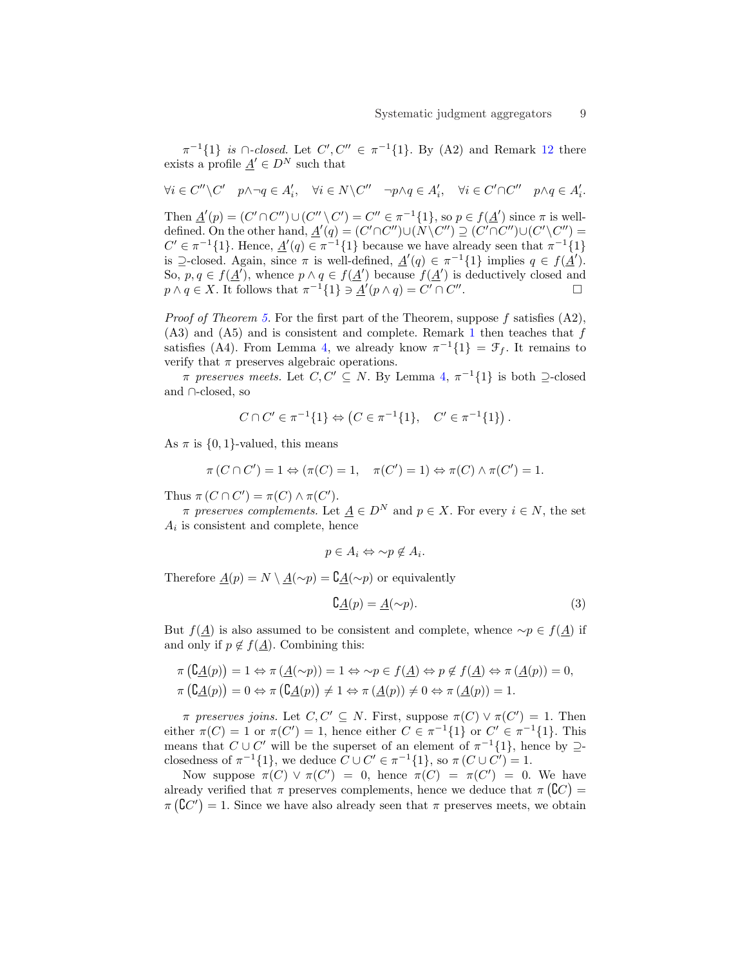$\pi^{-1}{1}$  is  $\cap$ -closed. Let  $C', C'' \in \pi^{-1}{1}$ . By (A2) and Remark 12 there exists a profile  $\underline{A}' \in D^N$  such that

$$
\forall i \in C'' \setminus C' \quad p \wedge \neg q \in A'_i, \quad \forall i \in N \setminus C'' \quad \neg p \wedge q \in A'_i, \quad \forall i \in C' \cap C'' \quad p \wedge q \in A'_i.
$$

Then  $\underline{A}'(p) = (C' \cap C'') \cup (C'' \setminus C') = C'' \in \pi^{-1}{1}$ , so  $p \in f(\underline{A}')$  since  $\pi$  is welldefined. On the other hand,  $\underline{A}'(q) = (C' \cap C'') \cup (N \setminus C'') \supseteq (C' \cap C'') \cup (C' \setminus C'') =$  $C' \in \pi^{-1}{1}$ . Hence,  $\underline{A}'(q) \in \pi^{-1}{1}$  because we have already seen that  $\pi^{-1}{1}$ is  $\supseteq$ -closed. Again, since  $\pi$  is well-defined,  $\underline{A}'(q) \in \pi^{-1}\{1\}$  implies  $q \in f(\underline{A}')$ . So,  $p, q \in f(\underline{A}')$ , whence  $p \wedge q \in f(\underline{A}')$  because  $f(\underline{A}')$  is deductively closed and  $p \wedge q \in X$ . It follows that  $\pi^{-1}{1 \in A'(p \wedge q) = C' \cap C''}$ .  $\qquad \qquad \Box$ 

*Proof of Theorem 5.* For the first part of the Theorem, suppose f satisfies  $(A2)$ ,  $(A3)$  and  $(A5)$  and is consistent and complete. Remark 1 then teaches that f satisfies (A4). From Lemma 4, we already know  $\pi^{-1}{1} = \mathcal{F}_f$ . It remains to verify that  $\pi$  preserves algebraic operations.

 $\pi$  preserves meets. Let  $C, C' \subseteq N$ . By Lemma 4,  $\pi^{-1}\{1\}$  is both  $\supseteq$ -closed and ∩-closed, so

$$
C \cap C' \in \pi^{-1}\{1\} \Leftrightarrow \left(C \in \pi^{-1}\{1\}, \quad C' \in \pi^{-1}\{1\}\right).
$$

As  $\pi$  is  $\{0, 1\}$ -valued, this means

$$
\pi(C \cap C') = 1 \Leftrightarrow (\pi(C) = 1, \quad \pi(C') = 1) \Leftrightarrow \pi(C) \wedge \pi(C') = 1.
$$

Thus  $\pi(C \cap C') = \pi(C) \wedge \pi(C')$ .

 $\pi$  preserves complements. Let  $\underline{A} \in D^N$  and  $p \in X$ . For every  $i \in N$ , the set  $A_i$  is consistent and complete, hence

$$
p \in A_i \Leftrightarrow \sim p \notin A_i.
$$

Therefore  $\underline{A}(p) = N \setminus \underline{A}(\sim p) = {\mathsf{C}} \underline{A}(\sim p)$  or equivalently

$$
\mathcal{C}_{\underline{A}}(p) = \underline{A}(\sim p). \tag{3}
$$

But  $f(A)$  is also assumed to be consistent and complete, whence  $\sim p \in f(A)$  if and only if  $p \notin f(\underline{A})$ . Combining this:

$$
\pi\left(\mathcal{C}_{\underline{A}}(p)\right) = 1 \Leftrightarrow \pi\left(\underline{A}(\sim p)\right) = 1 \Leftrightarrow \sim p \in f(\underline{A}) \Leftrightarrow p \notin f(\underline{A}) \Leftrightarrow \pi\left(\underline{A}(p)\right) = 0,
$$
  

$$
\pi\left(\mathcal{C}_{\underline{A}}(p)\right) = 0 \Leftrightarrow \pi\left(\mathcal{C}_{\underline{A}}(p)\right) \neq 1 \Leftrightarrow \pi\left(\underline{A}(p)\right) \neq 0 \Leftrightarrow \pi\left(\underline{A}(p)\right) = 1.
$$

 $\pi$  preserves joins. Let  $C, C' \subseteq N$ . First, suppose  $\pi(C) \vee \pi(C') = 1$ . Then either  $\pi(C) = 1$  or  $\pi(C') = 1$ , hence either  $C \in \pi^{-1}{1}$  or  $C' \in \pi^{-1}{1}$ . This means that  $C \cup C'$  will be the superset of an element of  $\pi^{-1}{1}$ , hence by  $\supseteq$ closedness of  $\pi^{-1}{1}$ , we deduce  $C \cup C' \in \pi^{-1}{1}$ , so  $\pi(C \cup C') = 1$ .

Now suppose  $\pi(C) \vee \pi(C') = 0$ , hence  $\pi(C) = \pi(C') = 0$ . We have already verified that  $\pi$  preserves complements, hence we deduce that  $\pi(\mathcal{C}\mathcal{C}) =$  $\pi(\mathbb{C}C') = 1$ . Since we have also already seen that  $\pi$  preserves meets, we obtain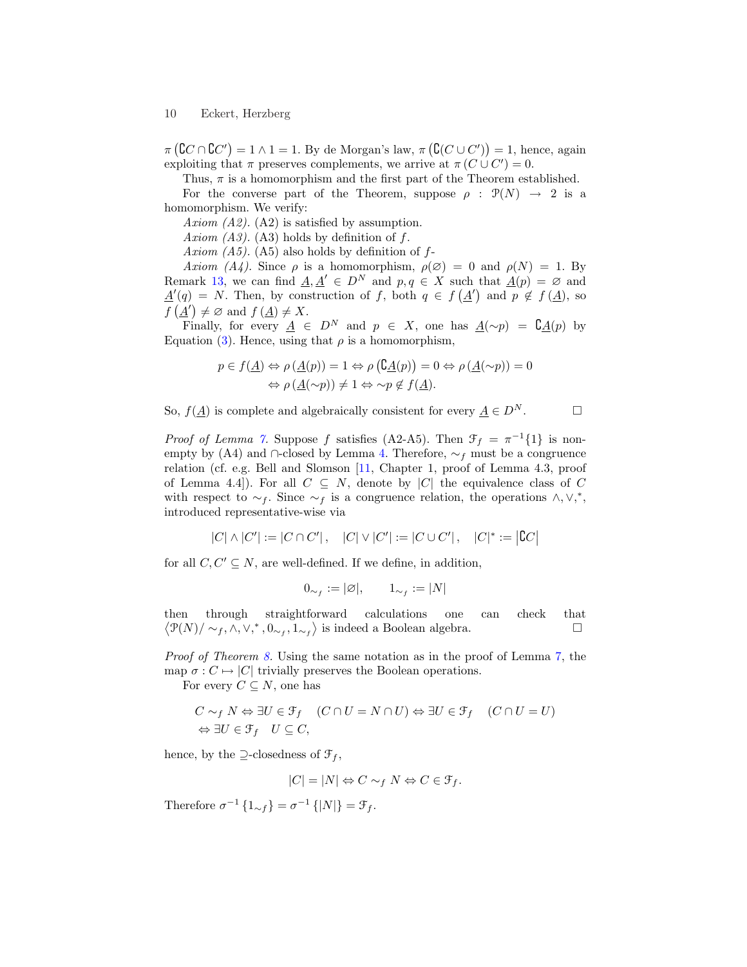π ¡  ${\complement} C \cap {\complement} C')$  $= 1 \wedge 1 = 1$ . By de Morgan's law,  $\pi$ ¡  ${\tt C}(C\cup C')$ ¢  $= 1$ , hence, again exploiting that  $\pi$  preserves complements, we arrive at  $\pi(C \cup C') = 0$ .

Thus,  $\pi$  is a homomorphism and the first part of the Theorem established. For the converse part of the Theorem, suppose  $\rho : \mathcal{P}(N) \to 2$  is a homomorphism. We verify:

Axiom (A2). (A2) is satisfied by assumption.

Axiom  $(A3)$ .  $(A3)$  holds by definition of f.

Axiom  $(A5)$ .  $(A5)$  also holds by definition of f-

Axiom (A4). Since  $\rho$  is a homomorphism,  $\rho(\emptyset) = 0$  and  $\rho(N) = 1$ . By Remark 13, we can find  $\underline{A}, \underline{A}' \in D^N$  and  $p, q \in X$  such that  $\underline{A}(p) = \emptyset$  and  $\underline{A}'(q) = N$ . Then, by construction of f, both  $q \in f(\underline{A}')$  and  $p \notin f(\underline{A})$ , so  $f(\underline{A}') \neq \emptyset$  and  $f(\underline{A}) \neq X$ .

Finally, for every  $\underline{A} \in D^N$  and  $p \in X$ , one has  $\underline{A}(\sim p) = \underline{C} \underline{A}(p)$  by Equation (3). Hence, using that  $\rho$  is a homomorphism,

$$
p \in f(\underline{A}) \Leftrightarrow \rho(\underline{A}(p)) = 1 \Leftrightarrow \rho(\underline{\mathfrak{C}}\underline{A}(p)) = 0 \Leftrightarrow \rho(\underline{A}(\sim p)) = 0
$$
  

$$
\Leftrightarrow \rho(\underline{A}(\sim p)) \neq 1 \Leftrightarrow \sim p \notin f(\underline{A}).
$$

So,  $f(\underline{A})$  is complete and algebraically consistent for every  $\underline{A} \in D^N$ .  $\square$ 

*Proof of Lemma 7.* Suppose f satisfies (A2-A5). Then  $\mathcal{F}_f = \pi^{-1}{1}$  is nonempty by (A4) and ∩-closed by Lemma 4. Therefore,  $\sim_f$  must be a congruence relation (cf. e.g. Bell and Slomson [11, Chapter 1, proof of Lemma 4.3, proof of Lemma 4.4]). For all  $C \subseteq N$ , denote by |C| the equivalence class of C with respect to  $\sim_f$ . Since  $\sim_f$  is a congruence relation, the operations  $\wedge$ ,  $\vee$ ,<sup>\*</sup>, introduced representative-wise via

> $|C| \wedge |C'| := |C \cap C'|$ ,  $|C| \vee |C'| := |C \cup C'|$ ,  $|C|^* :=$  $|{{\mathbb C}C}|$

for all  $C, C' \subseteq N$ , are well-defined. If we define, in addition,

$$
0_{\sim_f} := |\varnothing|, \qquad 1_{\sim_f} := |N|
$$

then through straightforward calculations one can check that then  $\mathcal{P}(N)/\sim_f, \wedge, \vee,^*, 0, \sim_f, 1, \sim_f$  is indeed a Boolean algebra.

Proof of Theorem 8. Using the same notation as in the proof of Lemma 7, the map  $\sigma: C \mapsto |C|$  trivially preserves the Boolean operations.

For every  $C \subseteq N$ , one has

$$
C \sim_f N \Leftrightarrow \exists U \in \mathcal{F}_f \quad (C \cap U = N \cap U) \Leftrightarrow \exists U \in \mathcal{F}_f \quad (C \cap U = U)
$$
  

$$
\Leftrightarrow \exists U \in \mathcal{F}_f \quad U \subseteq C,
$$

hence, by the  $\supseteq$ -closedness of  $\mathcal{F}_f$ ,

$$
|C| = |N| \Leftrightarrow C \sim_f N \Leftrightarrow C \in \mathcal{F}_f.
$$

Therefore  $\sigma^{-1}\left\{1_{\sim f}\right\} = \sigma^{-1}\left\{|N|\right\} = \mathcal{F}_f$ .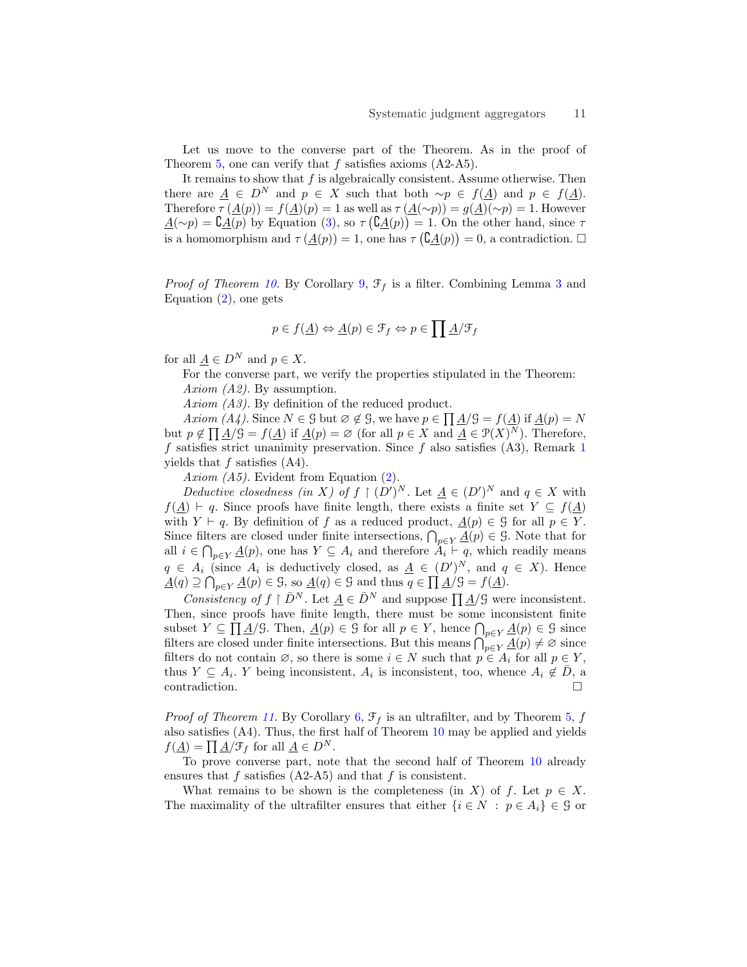Let us move to the converse part of the Theorem. As in the proof of Theorem 5, one can verify that  $f$  satisfies axioms  $(A2-A5)$ .

It remains to show that  $f$  is algebraically consistent. Assume otherwise. Then there are  $\underline{A} \in D^N$  and  $p \in X$  such that both  $\sim p \in f(\underline{A})$  and  $p \in f(\underline{A})$ . Therefore  $\tau(\underline{A}(p)) = f(\underline{A})(p) = 1$  as well as  $\tau(\underline{A}(\sim p)) = g(\underline{A})(\sim p) = 1$ . However  $\underline{A}(\sim p) = \underline{C}\underline{A}(p)$  by Equation (3), so  $\tau(\underline{C}\underline{A}(p)) = 1$ . On the other hand, since  $\tau$ is a homomorphism and  $\tau(\underline{A}(p)) = 1$ , one has  $\tau(\underline{A}(p)) = 0$ , a contradiction.  $\Box$ 

*Proof of Theorem 10.* By Corollary 9,  $\mathcal{F}_f$  is a filter. Combining Lemma 3 and Equation (2), one gets

$$
p\in f(\underline{A})\Leftrightarrow\underline{A}(p)\in\mathcal{F}_f\Leftrightarrow p\in\prod\underline{A}/\mathcal{F}_f
$$

for all  $A \in D^N$  and  $p \in X$ .

For the converse part, we verify the properties stipulated in the Theorem: Axiom (A2). By assumption.

Axiom  $(A3)$ . By definition of the reduced product.

Axiom (A4). Since  $N \in \mathcal{G}$  but  $\varnothing \notin \mathcal{G}$ , we have  $p \in \prod_{i} A/\mathcal{G} = f(\underline{A})$  if  $\underline{A}(p) = N$ but  $p \notin \prod A/\mathcal{G} = f(A)$  if  $A(p) = \emptyset$  (for all  $p \in X$  and  $A \in \mathcal{P}(X)^N$ ). Therefore, f satisfies strict unanimity preservation. Since f also satisfies  $(A3)$ , Remark 1 yields that  $f$  satisfies  $(A4)$ .

Axiom (A5). Evident from Equation (2).

Deductive closedness (in X) of  $f \restriction (D')^N$ . Let  $\underline{A} \in (D')^N$  and  $q \in X$  with  $f(\underline{A}) \vdash q$ . Since proofs have finite length, there exists a finite set  $Y \subseteq f(\underline{A})$ with  $Y \vdash q$ . By definition of f as a reduced product,  $\underline{A}(p) \in \mathcal{G}$  for all  $p \in Y$ . WITH  $Y \vdash q$ . By definition of f as a reduced product,  $\underline{A}(p) \in \mathcal{Y}$  for an  $p \in Y$ .<br>Since filters are closed under finite intersections,  $\bigcap_{p \in Y} \underline{A}(p) \in \mathcal{Y}$ . Note that for all  $i \in \bigcap_{p \in Y} \underline{A}(p)$ , one has  $Y \subseteq A_i$  and therefore  $A_i \vdash q$ , which readily means  $q \in A_i$  (since  $A_i$  is deductively closed, as  $\underline{A} \in (D')^N$ , and  $q \in X$ ). Hence  $\underline{A}(q) \supseteq \bigcap_{p \in Y} \underline{A}(p) \in \mathcal{G}$ , so  $\underline{A}(q) \in \mathcal{G}$  and thus  $q \in \prod \underline{A}/\mathcal{G} = f(\underline{A})$ .

Consistency of  $f \upharpoonright \overline{D}^N$ . Let  $\underline{A} \in \overline{D}^N$  and suppose  $\prod \underline{A}/\underline{S}$  were inconsistent. Then, since proofs have finite length, there must be some inconsistent finite Then, since proofs have finite length, there must be some inconsistent finite subset  $Y \subseteq \prod A/G$ . Then,  $A(p) \in \mathcal{G}$  for all  $p \in Y$ , hence  $\bigcap_{p \in Y} A(p) \in \mathcal{G}$  since subset  $Y \subseteq \prod A/\emptyset$ . Then,  $A(p) \in \emptyset$  for an  $p \in Y$ , nence  $\bigcap_{p \in Y} A(p) \in \emptyset$  since<br>filters are closed under finite intersections. But this means  $\bigcap_{p \in Y} A(p) \neq \emptyset$  since filters do not contain  $\emptyset$ , so there is some  $i \in N$  such that  $p \in A_i$  for all  $p \in Y$ , thus  $Y \subseteq A_i$ . Y being inconsistent,  $A_i$  is inconsistent, too, whence  $A_i \notin \overline{D}$ , a contradiction.

*Proof of Theorem 11.* By Corollary 6,  $\mathcal{F}_f$  is an ultrafilter, and by Theorem 5, f also satisfies (A4). Thus, the first half of Theorem 10 may be applied and yields  $f(\underline{A}) = \prod \underline{A}/\mathfrak{F}_f$  for all  $\underline{A} \in D^N$ .

To prove converse part, note that the second half of Theorem 10 already ensures that f satisfies  $(A2-A5)$  and that f is consistent.

What remains to be shown is the completeness (in X) of f. Let  $p \in X$ . The maximality of the ultrafilter ensures that either  $\{i \in N : p \in A_i\} \in \mathcal{G}$  or